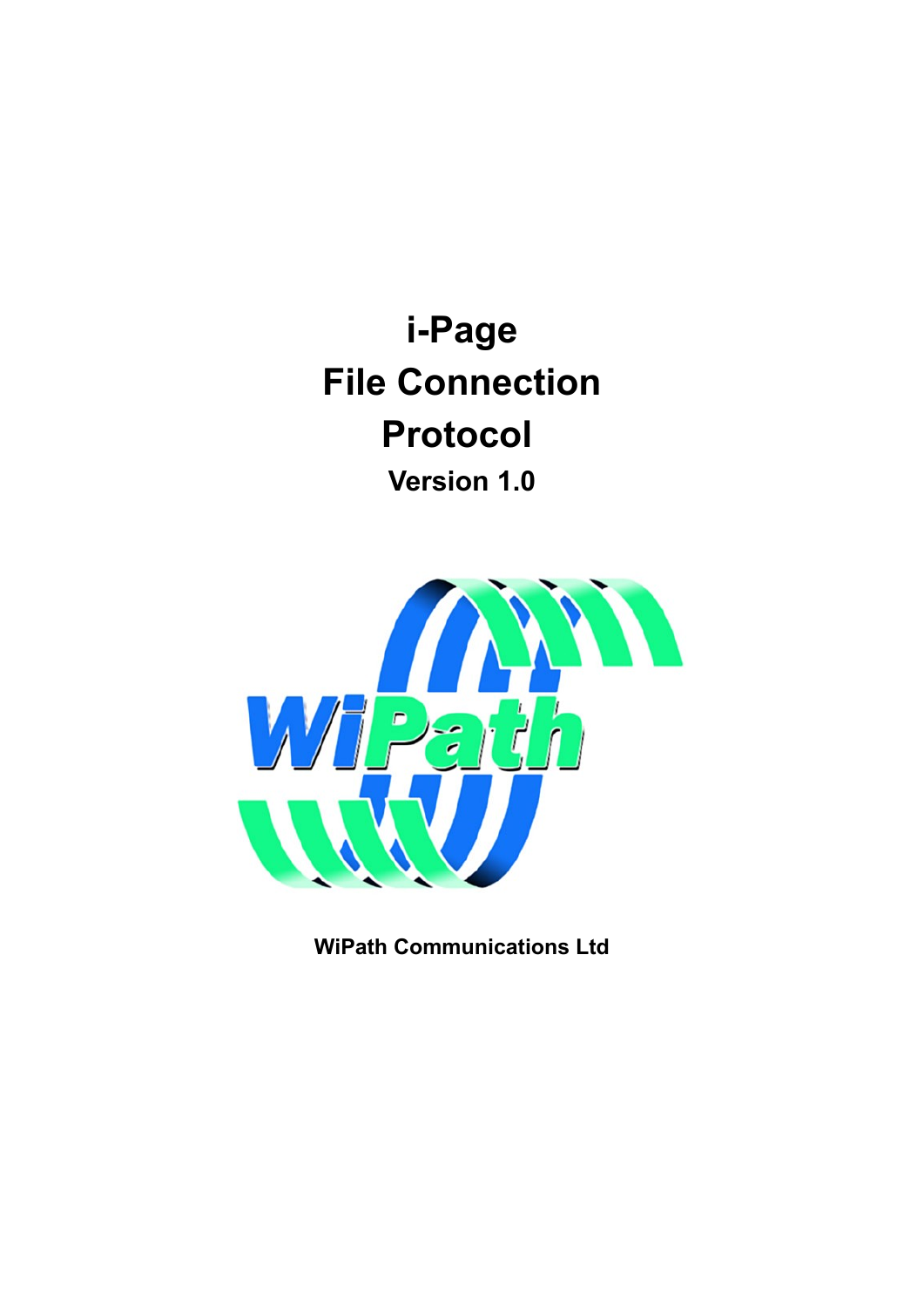**i-Page File Connection Protocol Version 1.0**



**WiPath Communications Ltd**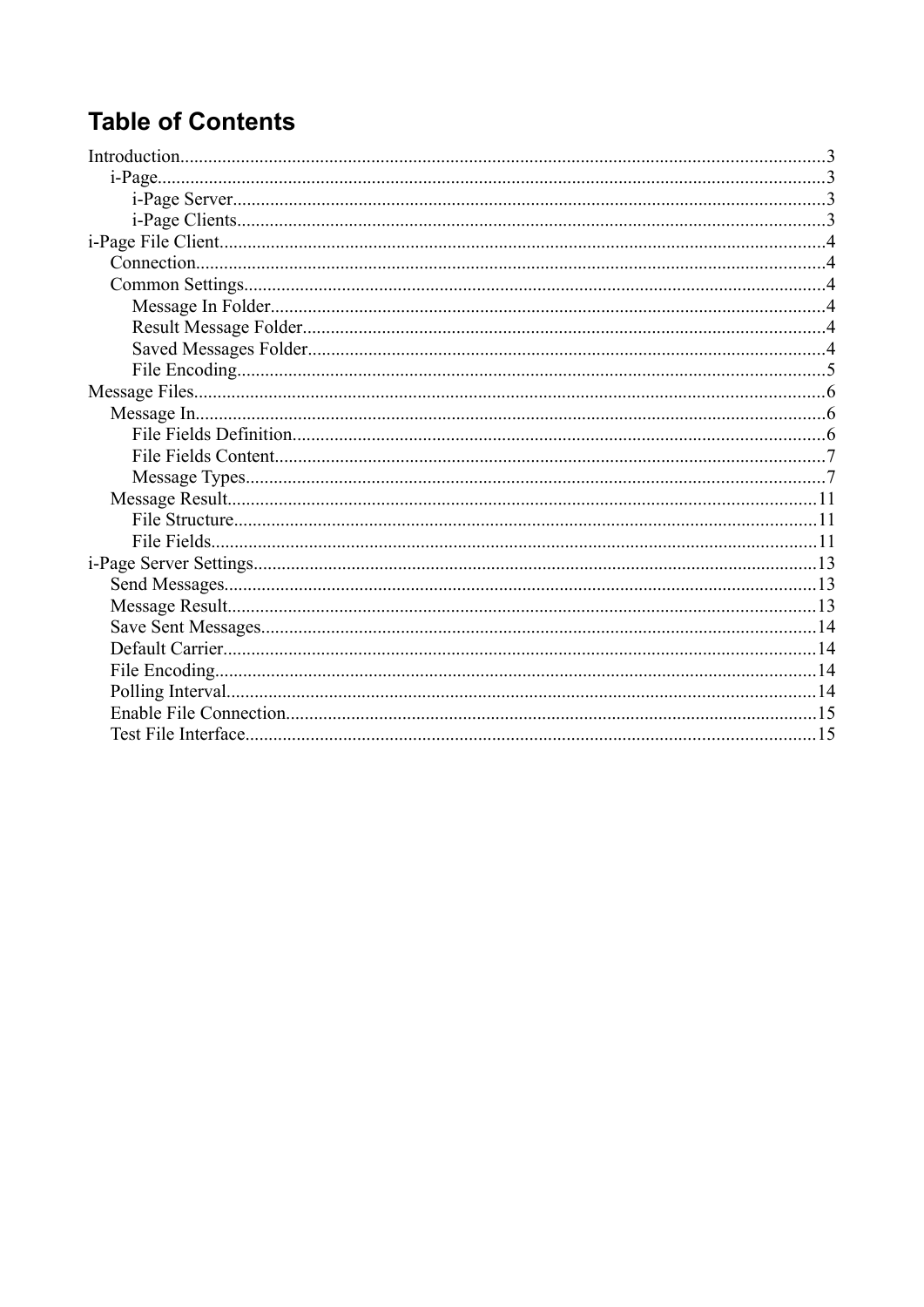## **Table of Contents**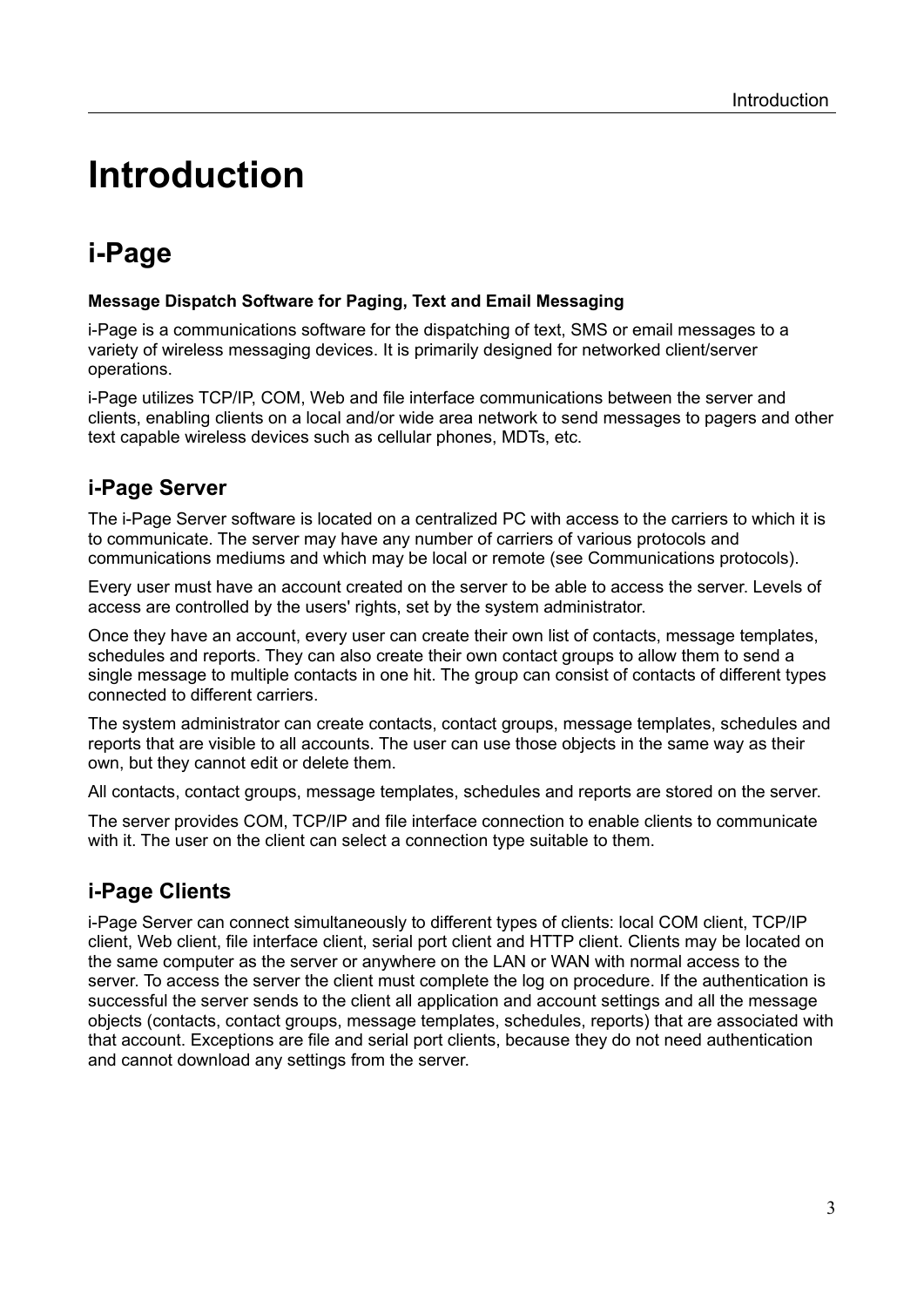# <span id="page-2-3"></span>**Introduction**

## <span id="page-2-2"></span>**i-Page**

#### **Message Dispatch Software for Paging, Text and Email Messaging**

i-Page is a communications software for the dispatching of text, SMS or email messages to a variety of wireless messaging devices. It is primarily designed for networked client/server operations.

i-Page utilizes TCP/IP, COM, Web and file interface communications between the server and clients, enabling clients on a local and/or wide area network to send messages to pagers and other text capable wireless devices such as cellular phones, MDTs, etc.

### <span id="page-2-1"></span>**i-Page Server**

The i-Page Server software is located on a centralized PC with access to the carriers to which it is to communicate. The server may have any number of carriers of various protocols and communications mediums and which may be local or remote (see Communications protocols).

Every user must have an account created on the server to be able to access the server. Levels of access are controlled by the users' rights, set by the system administrator.

Once they have an account, every user can create their own list of contacts, message templates, schedules and reports. They can also create their own contact groups to allow them to send a single message to multiple contacts in one hit. The group can consist of contacts of different types connected to different carriers.

The system administrator can create contacts, contact groups, message templates, schedules and reports that are visible to all accounts. The user can use those objects in the same way as their own, but they cannot edit or delete them.

All contacts, contact groups, message templates, schedules and reports are stored on the server.

The server provides COM, TCP/IP and file interface connection to enable clients to communicate with it. The user on the client can select a connection type suitable to them.

### <span id="page-2-0"></span>**i-Page Clients**

i-Page Server can connect simultaneously to different types of clients: local COM client, TCP/IP client, Web client, file interface client, serial port client and HTTP client. Clients may be located on the same computer as the server or anywhere on the LAN or WAN with normal access to the server. To access the server the client must complete the log on procedure. If the authentication is successful the server sends to the client all application and account settings and all the message objects (contacts, contact groups, message templates, schedules, reports) that are associated with that account. Exceptions are file and serial port clients, because they do not need authentication and cannot download any settings from the server.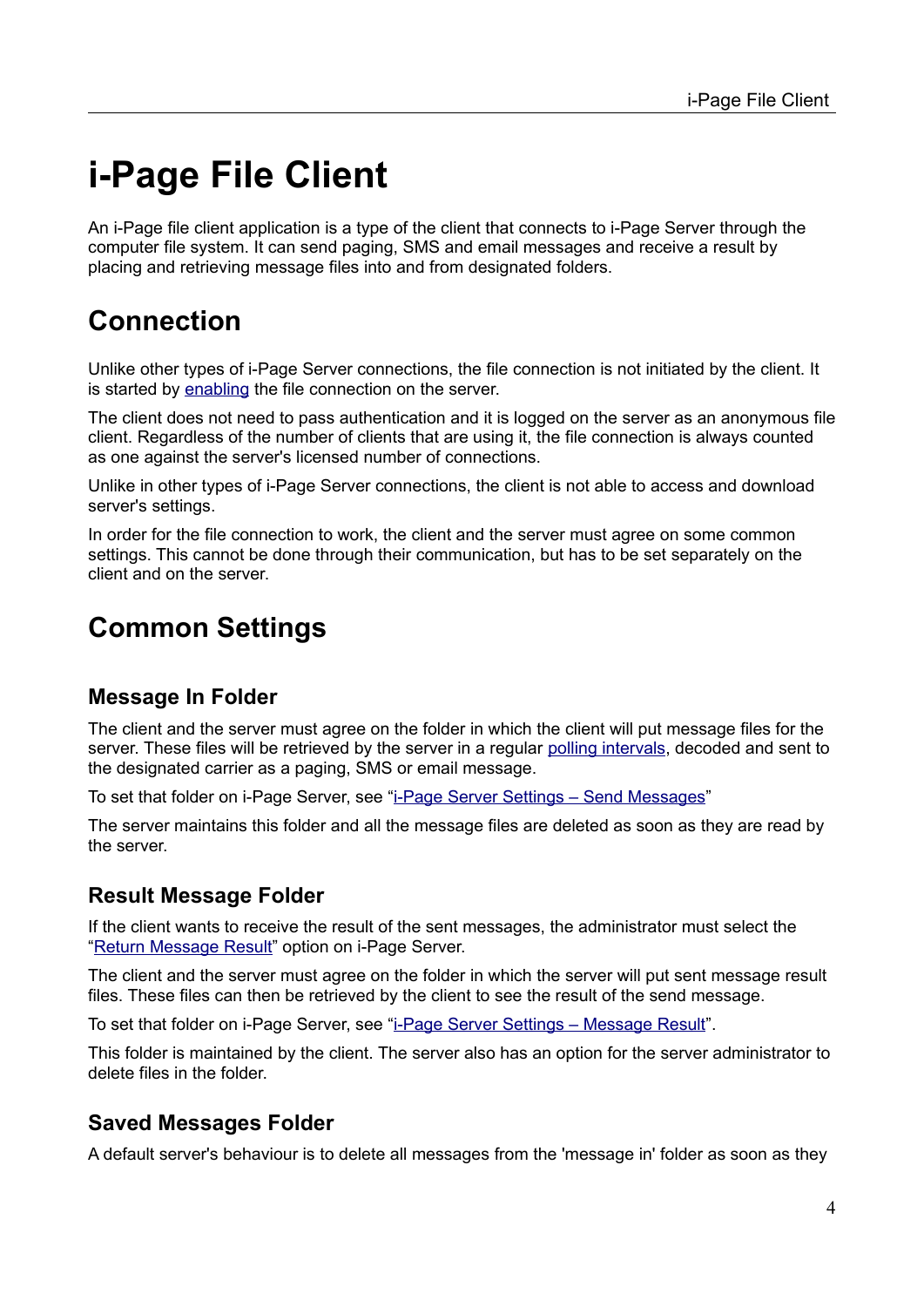# <span id="page-3-5"></span>**i-Page File Client**

An i-Page file client application is a type of the client that connects to i-Page Server through the computer file system. It can send paging, SMS and email messages and receive a result by placing and retrieving message files into and from designated folders.

## <span id="page-3-4"></span>**Connection**

Unlike other types of i-Page Server connections, the file connection is not initiated by the client. It is started by [enabling](#page-14-1) the file connection on the server.

The client does not need to pass authentication and it is logged on the server as an anonymous file client. Regardless of the number of clients that are using it, the file connection is always counted as one against the server's licensed number of connections.

Unlike in other types of i-Page Server connections, the client is not able to access and download server's settings.

In order for the file connection to work, the client and the server must agree on some common settings. This cannot be done through their communication, but has to be set separately on the client and on the server.

## <span id="page-3-3"></span>**Common Settings**

### <span id="page-3-2"></span>**Message In Folder**

The client and the server must agree on the folder in which the client will put message files for the server. These files will be retrieved by the server in a regular [polling intervals](#page-13-0), decoded and sent to the designated carrier as a paging, SMS or email message.

To set that folder on i-Page Server, see "[i-Page Server Settings – Send Messages"](#page-12-1)

The server maintains this folder and all the message files are deleted as soon as they are read by the server.

### <span id="page-3-1"></span>**Result Message Folder**

If the client wants to receive the result of the sent messages, the administrator must select the ["Return Message Result](#page-12-3)" option on i-Page Server.

The client and the server must agree on the folder in which the server will put sent message result files. These files can then be retrieved by the client to see the result of the send message.

To set that folder on i-Page Server, see "[i-Page Server Settings – Message Result"](#page-10-2).

This folder is maintained by the client. The server also has an option for the server administrator to delete files in the folder.

### <span id="page-3-0"></span>**Saved Messages Folder**

A default server's behaviour is to delete all messages from the 'message in' folder as soon as they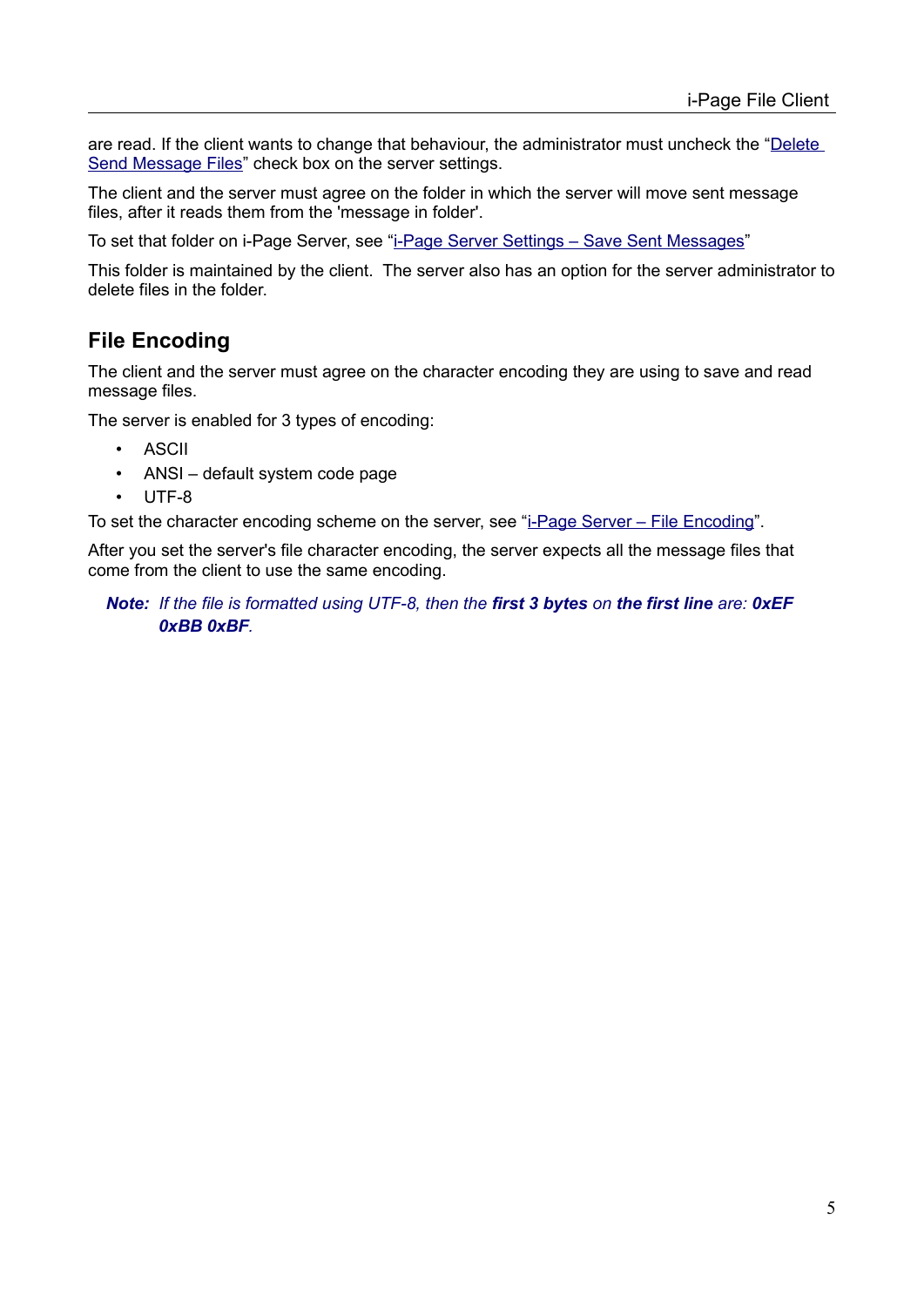are read. If the client wants to change that behaviour, the administrator must uncheck the "Delete [Send Message Files](#page-12-3)" check box on the server settings.

The client and the server must agree on the folder in which the server will move sent message files, after it reads them from the 'message in folder'.

To set that folder on i-Page Server, see "[i-Page Server Settings – Save Sent Messages](#page-13-3)"

This folder is maintained by the client. The server also has an option for the server administrator to delete files in the folder.

### <span id="page-4-0"></span>**File Encoding**

The client and the server must agree on the character encoding they are using to save and read message files.

The server is enabled for 3 types of encoding:

- ASCII
- ANSI default system code page
- UTF-8

To set the character encoding scheme on the server, see "[i-Page Server – File Encoding](#page-13-1)".

After you set the server's file character encoding, the server expects all the message files that come from the client to use the same encoding.

*Note: If the file is formatted using UTF-8, then the first 3 bytes on the first line are: 0xEF 0xBB 0xBF.*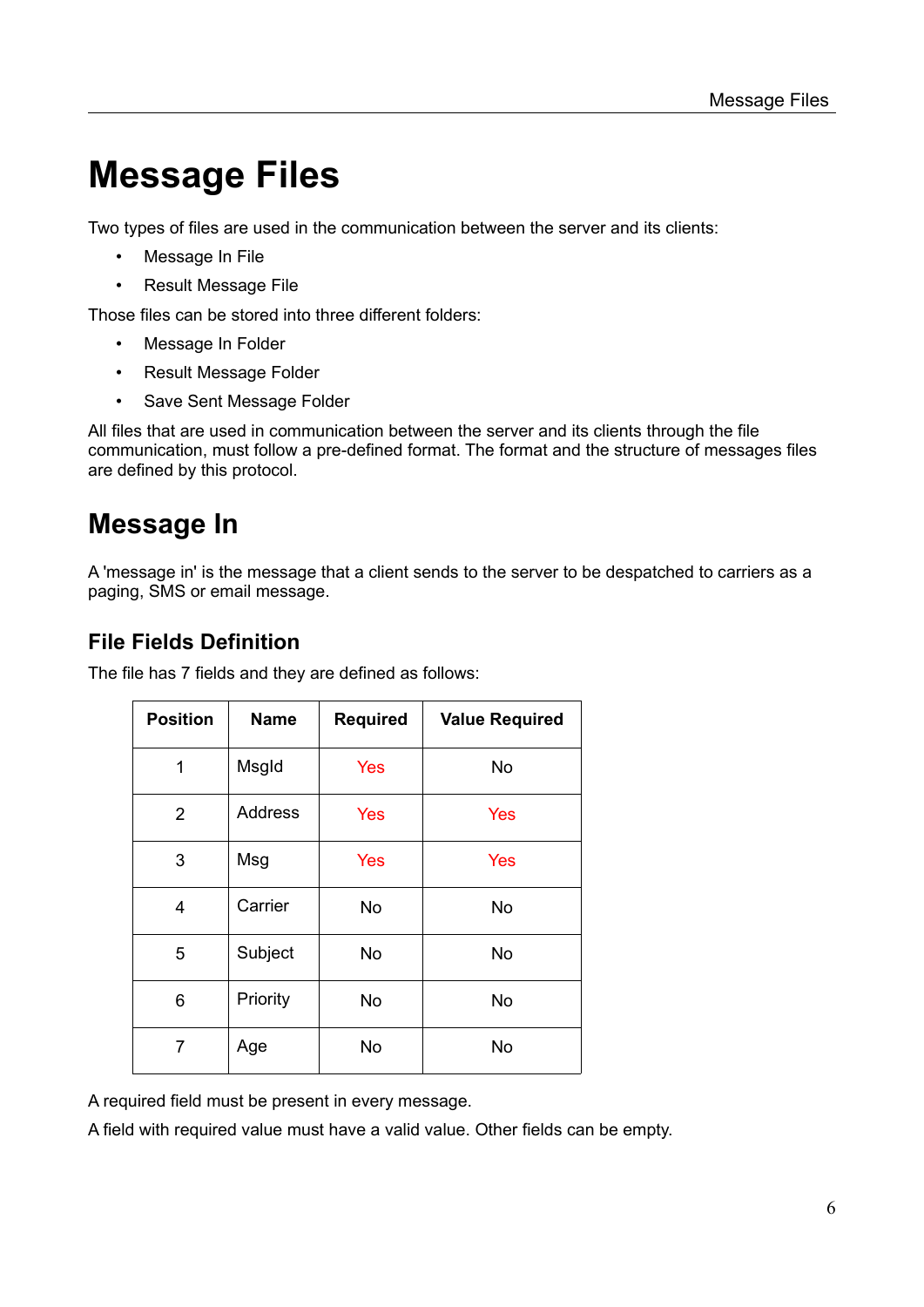# <span id="page-5-2"></span>**Message Files**

Two types of files are used in the communication between the server and its clients:

- [Message In File](#page-5-1)
- [Result Message File](#page-10-2)

Those files can be stored into three different folders:

- [Message In Folder](#page-3-2)
- [Result Message Folder](#page-3-1)
- [Save Sent Message Folder](#page-3-0)

All files that are used in communication between the server and its clients through the file communication, must follow a pre-defined format. The format and the structure of messages files are defined by this protocol.

## <span id="page-5-1"></span>**Message In**

A 'message in' is the message that a client sends to the server to be despatched to carriers as a paging, SMS or email message.

### <span id="page-5-0"></span>**File Fields Definition**

| <b>Position</b> | <b>Name</b>    | <b>Required</b> | <b>Value Required</b> |
|-----------------|----------------|-----------------|-----------------------|
| 1               | Msgld          | <b>Yes</b>      | No                    |
| $\overline{2}$  | <b>Address</b> | <b>Yes</b>      | Yes                   |
| 3               | Msg            | Yes             | Yes                   |
| 4               | Carrier        | No              | No                    |
| 5               | Subject        | <b>No</b>       | <b>No</b>             |
| 6               | Priority       | No              | No                    |
| $\overline{7}$  | Age            | No              | <b>No</b>             |

The file has 7 fields and they are defined as follows:

A required field must be present in every message.

A field with required value must have a valid value. Other fields can be empty.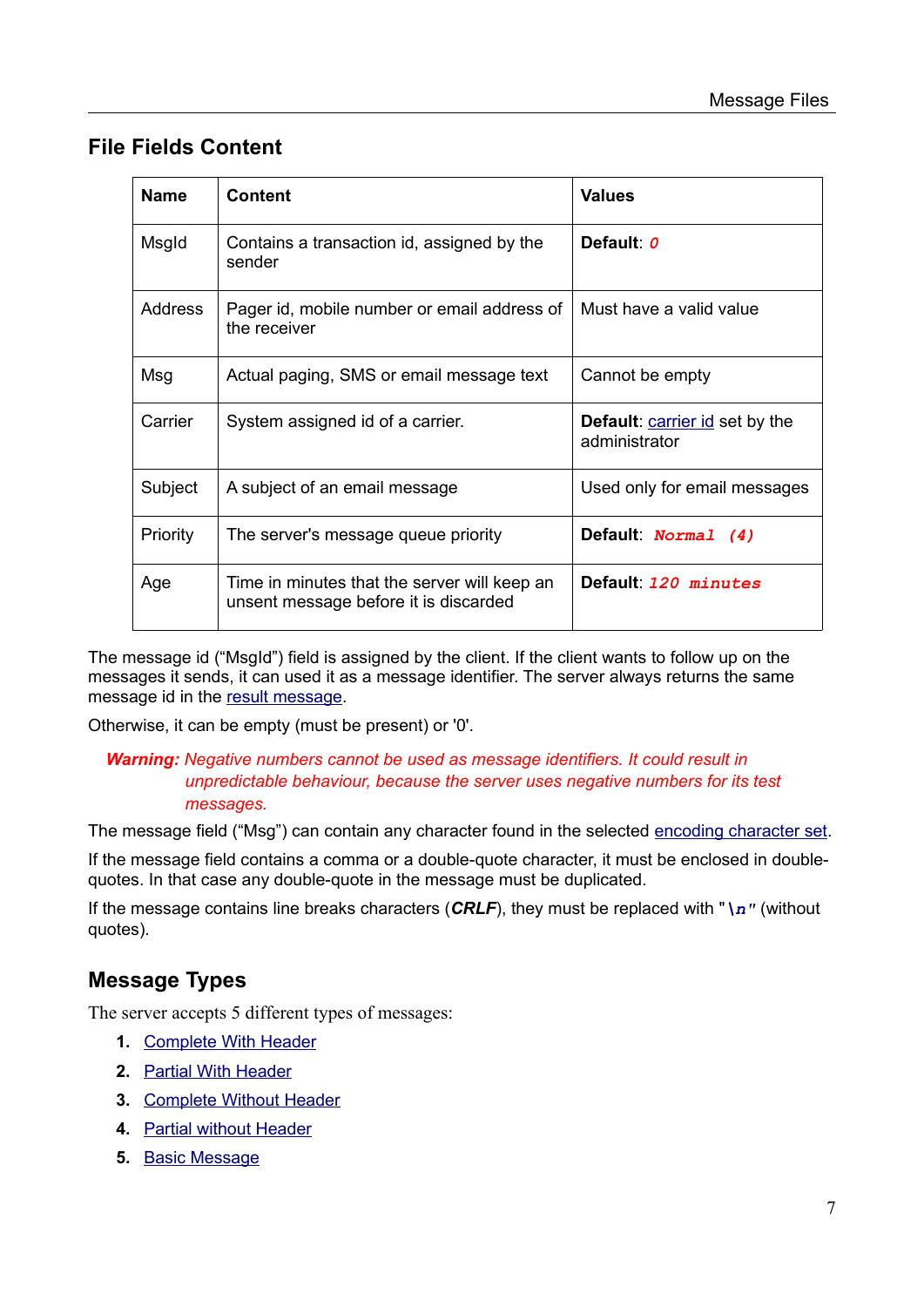### <span id="page-6-1"></span>**File Fields Content**

| <b>Name</b>    | <b>Content</b>                                                                        | <b>Values</b>                                          |
|----------------|---------------------------------------------------------------------------------------|--------------------------------------------------------|
| Msgld          | Contains a transaction id, assigned by the<br>sender                                  | Default 0                                              |
| <b>Address</b> | Pager id, mobile number or email address of<br>the receiver                           | Must have a valid value                                |
| Msg            | Actual paging, SMS or email message text                                              | Cannot be empty                                        |
| Carrier        | System assigned id of a carrier.                                                      | <b>Default:</b> carrier id set by the<br>administrator |
| Subject        | A subject of an email message                                                         | Used only for email messages                           |
| Priority       | The server's message queue priority                                                   | Default: Normal (4)                                    |
| Age            | Time in minutes that the server will keep an<br>unsent message before it is discarded | Default: 120 minutes                                   |

The message id ("MsgId") field is assigned by the client. If the client wants to follow up on the messages it sends, it can used it as a message identifier. The server always returns the same message id in the [result message.](#page-10-2)

Otherwise, it can be empty (must be present) or '0'.

#### *Warning: Negative numbers cannot be used as message identifiers. It could result in unpredictable behaviour, because the server uses negative numbers for its test messages.*

The message field ("Msg") can contain any character found in the selected [encoding character set](#page-4-0).

If the message field contains a comma or a double-quote character, it must be enclosed in doublequotes. In that case any double-quote in the message must be duplicated.

If the message contains line breaks characters (*CRLF*), they must be replaced with "*\n"* (without quotes).

### <span id="page-6-0"></span>**Message Types**

The server accepts 5 different types of messages:

- **1.** [Complete With Header](#page-7-1)
- **2.** [Partial With Header](#page-7-0)
- **3.** [Complete Without Header](#page-8-1)
- **4.** [Partial without Header](#page-8-0)
- **5.** [Basic Message](#page-9-0)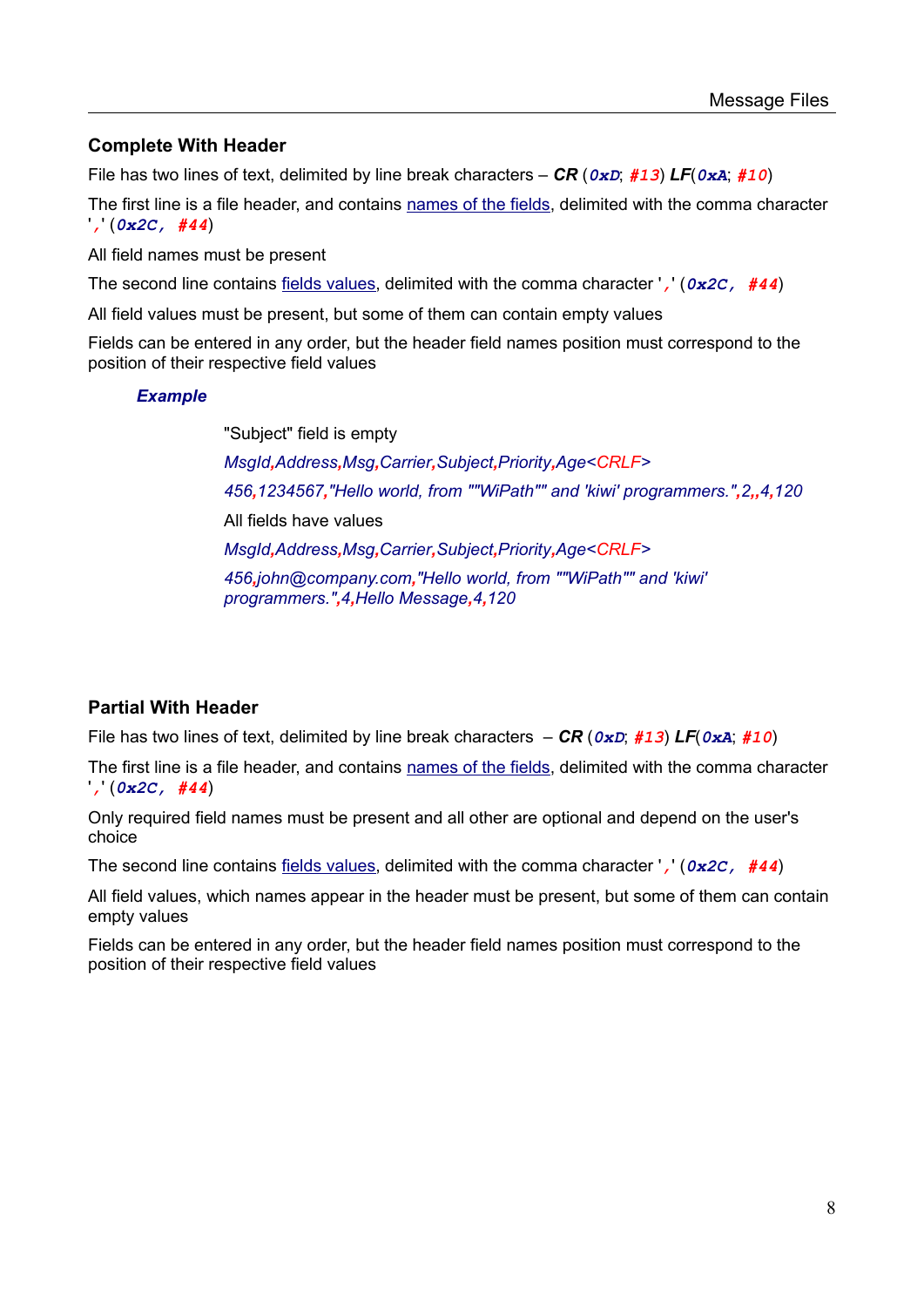#### <span id="page-7-1"></span>**Complete With Header**

File has two lines of text, delimited by line break characters – *CR* (*0xD*; *#13*) *LF*(*0xA*; *#10*)

The first line is a file header, and contains [names of the fields,](#page-5-0) delimited with the comma character '*,*' (*0x2C, #44*)

All field names must be present

The second line contains [fields values](#page-6-1), delimited with the comma character '*,*' (*0x2C, #44*)

All field values must be present, but some of them can contain empty values

Fields can be entered in any order, but the header field names position must correspond to the position of their respective field values

#### *Example*

"Subject" field is empty *MsgId,Address,Msg,Carrier,Subject,Priority,Age<CRLF> 456,1234567,"Hello world, from ""WiPath"" and 'kiwi' programmers.",2,,4,120*  All fields have values *MsgId,Address,Msg,Carrier,Subject,Priority,Age<CRLF> 456,john@company.com,"Hello world, from ""WiPath"" and 'kiwi' programmers.",4,Hello Message,4,120*

#### <span id="page-7-0"></span>**Partial With Header**

File has two lines of text, delimited by line break characters – *CR* (*0xD*; *#13*) *LF*(*0xA*; *#10*)

The first line is a file header, and contains [names of the fields,](#page-5-0) delimited with the comma character '*,*' (*0x2C, #44*)

Only required field names must be present and all other are optional and depend on the user's choice

The second line contains [fields values](#page-6-1), delimited with the comma character '*,*' (*0x2C, #44*)

All field values, which names appear in the header must be present, but some of them can contain empty values

Fields can be entered in any order, but the header field names position must correspond to the position of their respective field values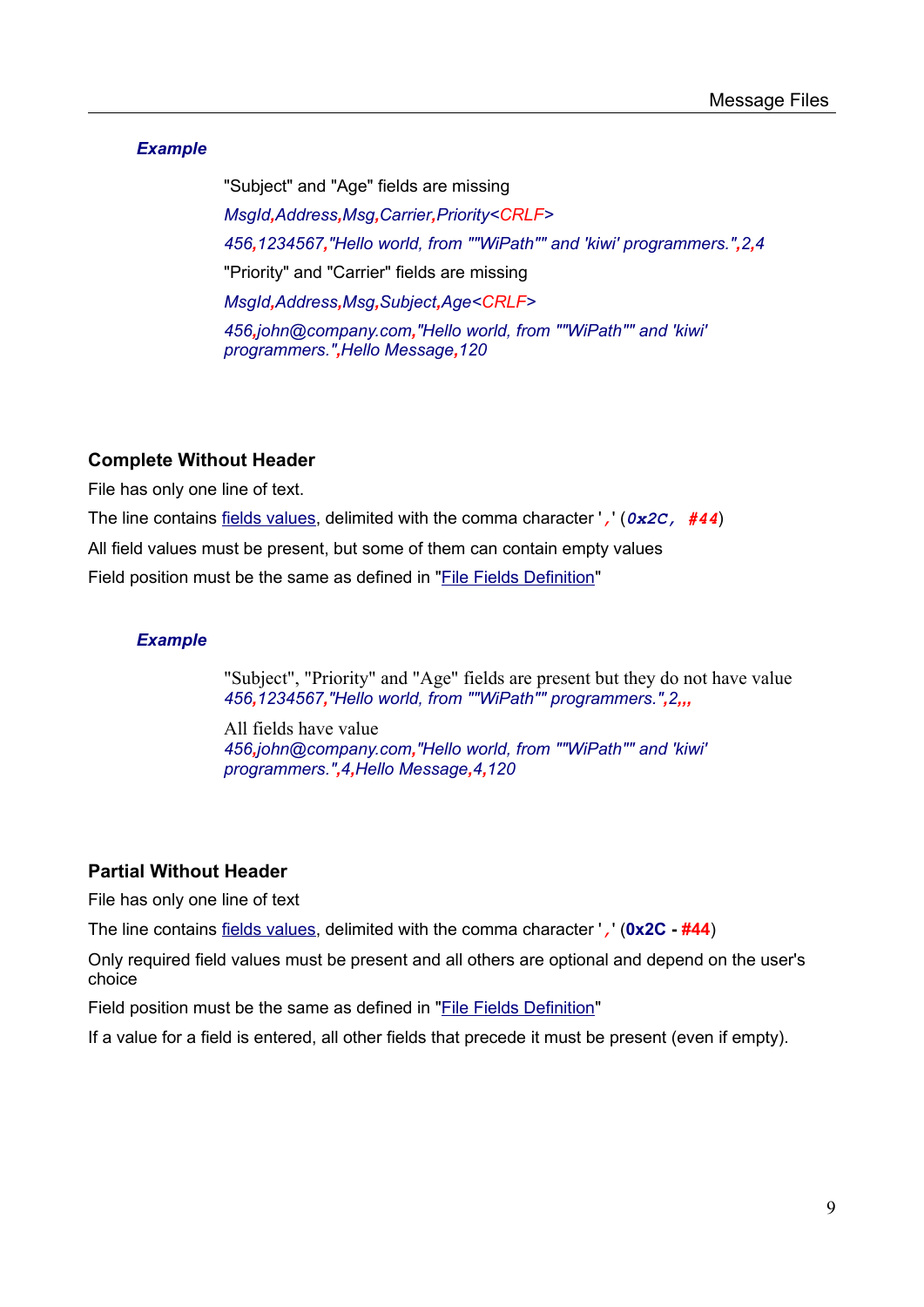#### *Example*

"Subject" and "Age" fields are missing *MsgId,Address,Msg,Carrier,Priority<CRLF> 456,1234567,"Hello world, from ""WiPath"" and 'kiwi' programmers.",2,4* "Priority" and "Carrier" fields are missing *MsgId,Address,Msg,Subject,Age<CRLF> 456,john@company.com,"Hello world, from ""WiPath"" and 'kiwi' programmers.",Hello Message,120*

#### <span id="page-8-1"></span>**Complete Without Header**

File has only one line of text.

The line contains [fields values,](#page-6-1) delimited with the comma character '*,*' (*0x2C, #44*) All field values must be present, but some of them can contain empty values Field position must be the same as defined in ["File Fields Definition](#page-5-0)"

#### *Example*

"Subject", "Priority" and "Age" fields are present but they do not have value *456,1234567,"Hello world, from ""WiPath"" programmers.",2,,,*

All fields have value *456,john@company.com,"Hello world, from ""WiPath"" and 'kiwi' programmers.",4,Hello Message,4,120*

#### <span id="page-8-0"></span>**Partial Without Header**

File has only one line of text

The line contains [fields values,](#page-6-1) delimited with the comma character '*,*' (**0x2C - #44**)

Only required field values must be present and all others are optional and depend on the user's choice

Field position must be the same as defined in ["File Fields Definition](#page-5-0)"

If a value for a field is entered, all other fields that precede it must be present (even if empty).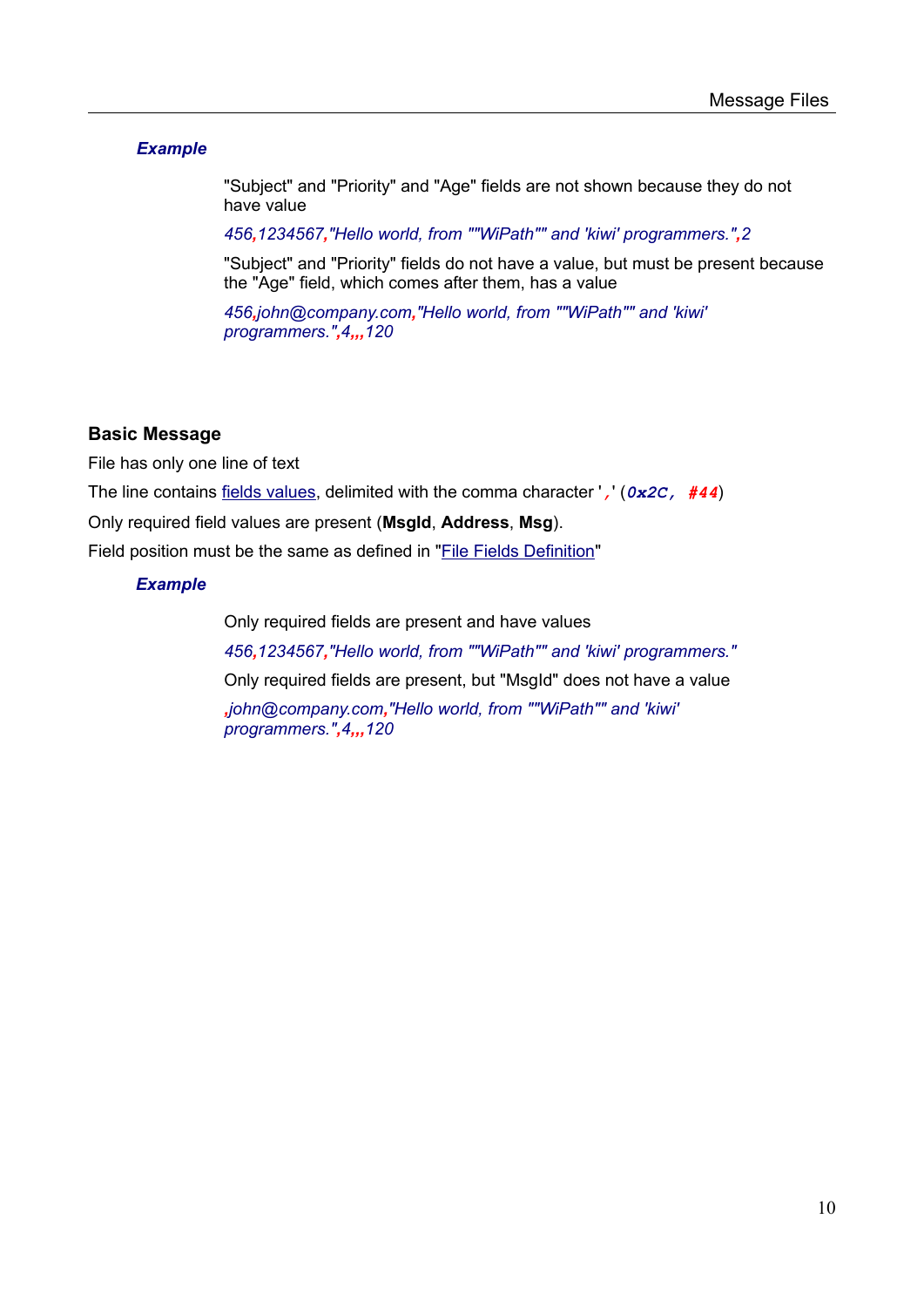#### *Example*

"Subject" and "Priority" and "Age" fields are not shown because they do not have value

*456,1234567,"Hello world, from ""WiPath"" and 'kiwi' programmers.",2*

"Subject" and "Priority" fields do not have a value, but must be present because the "Age" field, which comes after them, has a value

*456,john@company.com,"Hello world, from ""WiPath"" and 'kiwi' programmers.",4,,,120*

#### <span id="page-9-0"></span>**Basic Message**

File has only one line of text The line contains [fields values,](#page-6-1) delimited with the comma character '*,*' (*0x2C, #44*) Only required field values are present (**MsgId**, **Address**, **Msg**). Field position must be the same as defined in ["File Fields Definition](#page-5-0)"

#### *Example*

Only required fields are present and have values *456,1234567,"Hello world, from ""WiPath"" and 'kiwi' programmers."* Only required fields are present, but "MsgId" does not have a value *,john@company.com,"Hello world, from ""WiPath"" and 'kiwi' programmers.",4,,,120*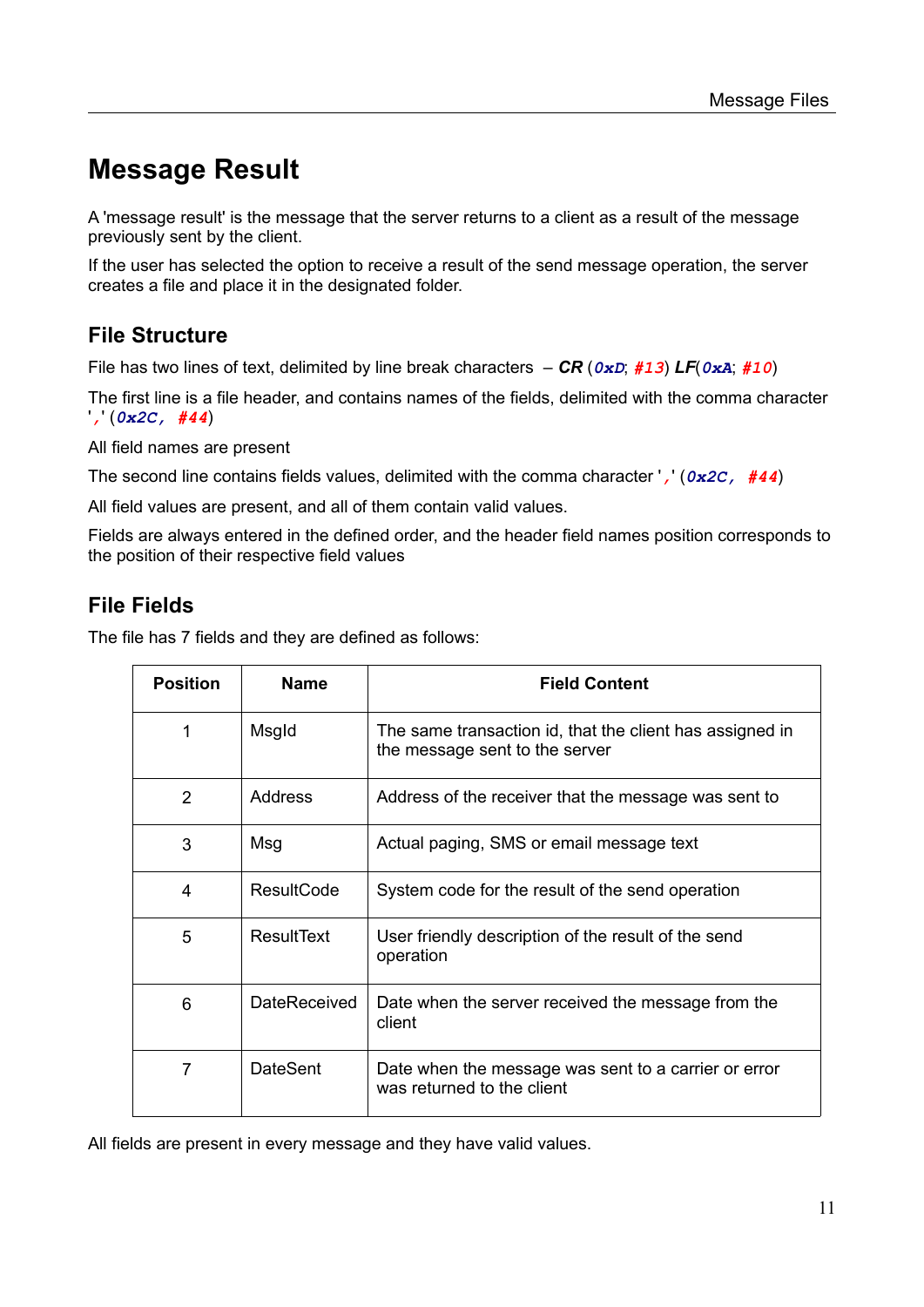## <span id="page-10-2"></span>**Message Result**

A 'message result' is the message that the server returns to a client as a result of the message previously sent by the client.

If the user has selected the option to receive a result of the send message operation, the server creates a file and place it in the designated folder.

### <span id="page-10-1"></span>**File Structure**

File has two lines of text, delimited by line break characters – *CR* (*0xD*; *#13*) *LF*(*0xA*; *#10*)

The first line is a file header, and contains names of the fields, delimited with the comma character '*,*' (*0x2C, #44*)

All field names are present

The second line contains fields values, delimited with the comma character '*,*' (*0x2C, #44*)

All field values are present, and all of them contain valid values.

Fields are always entered in the defined order, and the header field names position corresponds to the position of their respective field values

### <span id="page-10-0"></span>**File Fields**

The file has 7 fields and they are defined as follows:

| <b>Position</b> | <b>Name</b>         | <b>Field Content</b>                                                                       |
|-----------------|---------------------|--------------------------------------------------------------------------------------------|
| 1               | Msgld               | The same transaction id, that the client has assigned in<br>the message sent to the server |
| $\overline{2}$  | Address             | Address of the receiver that the message was sent to                                       |
| 3               | Msg                 | Actual paging, SMS or email message text                                                   |
| 4               | <b>ResultCode</b>   | System code for the result of the send operation                                           |
| 5               | ResultText          | User friendly description of the result of the send<br>operation                           |
| 6               | <b>DateReceived</b> | Date when the server received the message from the<br>client                               |
| 7               | <b>DateSent</b>     | Date when the message was sent to a carrier or error<br>was returned to the client         |

All fields are present in every message and they have valid values.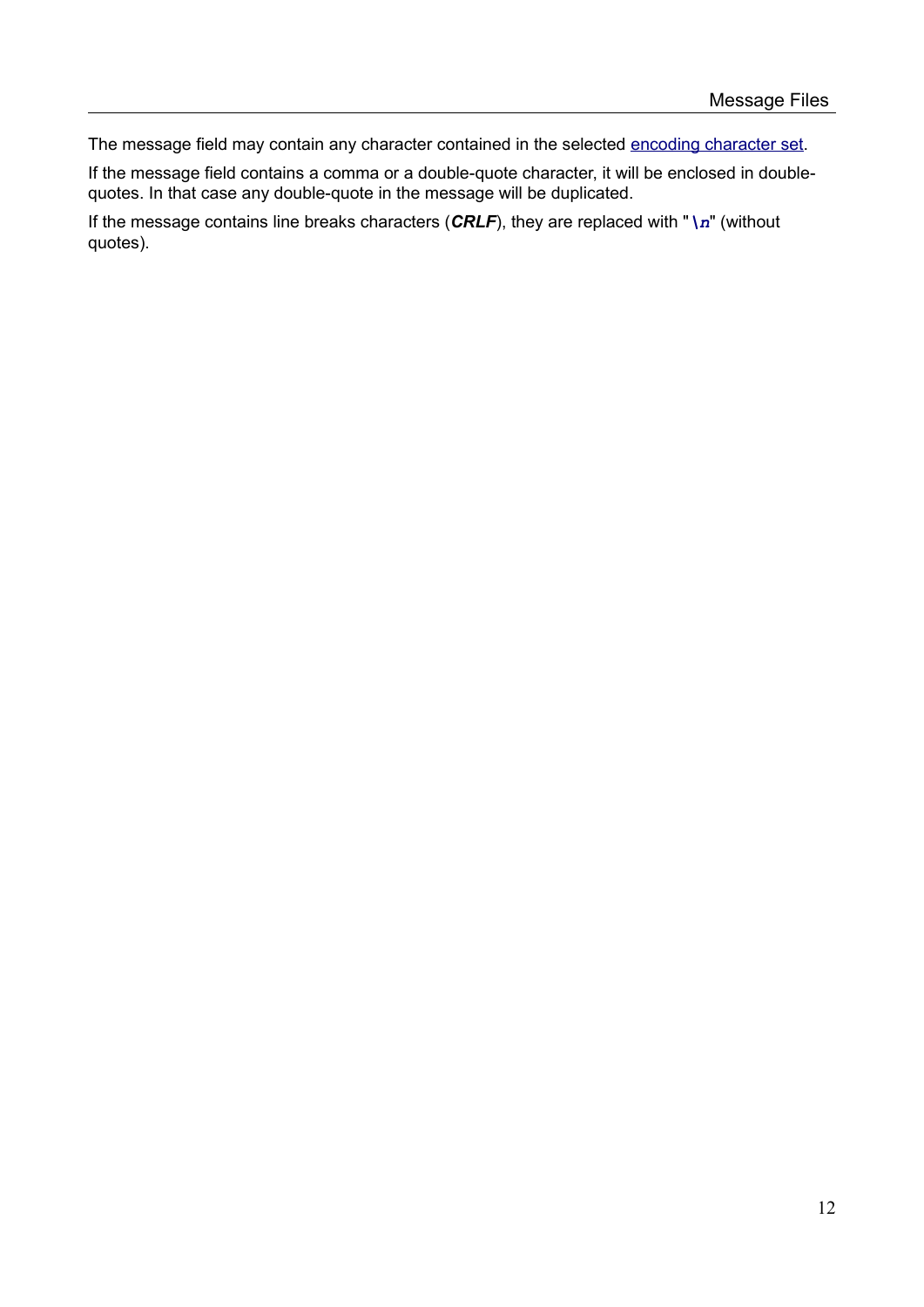The message field may contain any character contained in the selected [encoding character set.](#page-4-0)

If the message field contains a comma or a double-quote character, it will be enclosed in doublequotes. In that case any double-quote in the message will be duplicated.

If the message contains line breaks characters (*CRLF*), they are replaced with "*\n*" (without quotes).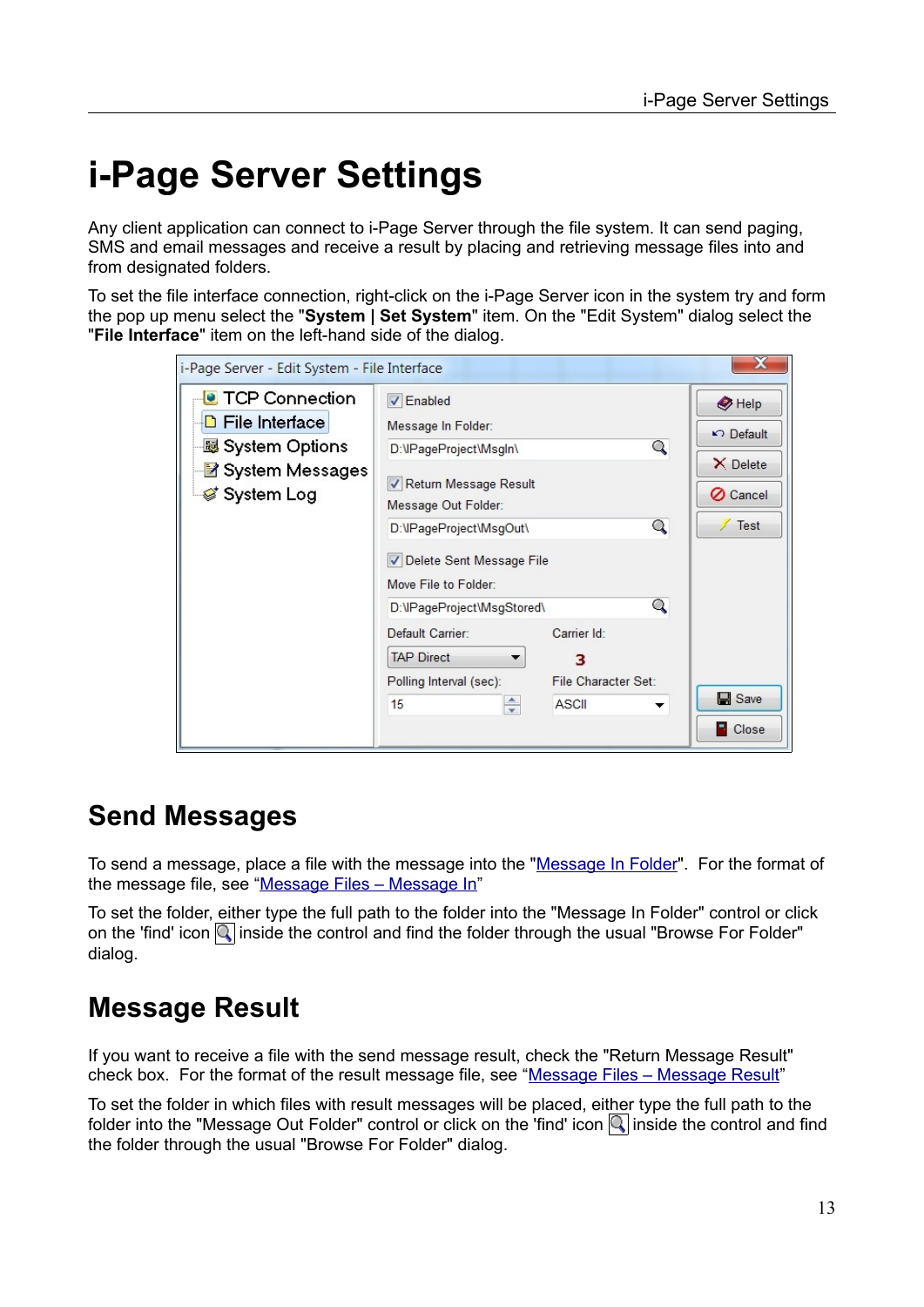# <span id="page-12-2"></span>**i-Page Server Settings**

Any client application can connect to i-Page Server through the file system. It can send paging, SMS and email messages and receive a result by placing and retrieving message files into and from designated folders.

To set the file interface connection, right-click on the i-Page Server icon in the system try and form the pop up menu select the "**System | Set System**" item. On the "Edit System" dialog select the "**File Interface**" item on the left-hand side of the dialog.

<span id="page-12-3"></span>

| i-Page Server - Edit System - File Interface                                                               |                                                                                                                                                                                                                               |                                                  |                                                                                 |
|------------------------------------------------------------------------------------------------------------|-------------------------------------------------------------------------------------------------------------------------------------------------------------------------------------------------------------------------------|--------------------------------------------------|---------------------------------------------------------------------------------|
| <b>TCP Connection</b><br><b>D</b> File Interface<br>- System Options<br>■ System Messages<br>తే System Log | <b>√</b> Enabled<br>Message In Folder:<br>D:\IPageProject\Msgln\<br>Return Message Result<br>Message Out Folder:<br>D:\IPageProject\MsgOut\<br>Delete Sent Message File<br>Move File to Folder:<br>D:\IPageProject\MsgStored\ | Q<br>Q<br>Q                                      | $\bigcirc$ Help<br>$\Box$ Default<br>X Delete<br><b>⊘</b> Cancel<br><b>Test</b> |
|                                                                                                            | Default Carrier:<br><b>TAP Direct</b><br>Polling Interval (sec):<br>≑<br>15                                                                                                                                                   | Carrier Id:<br>з<br>File Character Set:<br>ASCII | <b>■</b> Save<br>$\Box$ Close                                                   |

## <span id="page-12-1"></span>**Send Messages**

To send a message, place a file with the message into the "[Message In Folder"](#page-3-2). For the format of the message file, see ["Message Files – Message In](#page-5-1)"

To set the folder, either type the full path to the folder into the "Message In Folder" control or click on the 'find' icon  $\mathbb Q$  inside the control and find the folder through the usual "Browse For Folder" dialog.

## <span id="page-12-0"></span>**Message Result**

If you want to receive a file with the send message result, check the "Return Message Result" check box. For the format of the result message file, see ["Message Files – Message Result](#page-10-2)"

To set the folder in which files with result messages will be placed, either type the full path to the folder into the "Message Out Folder" control or click on the 'find' icon  $\mathbb Q$  inside the control and find the folder through the usual "Browse For Folder" dialog.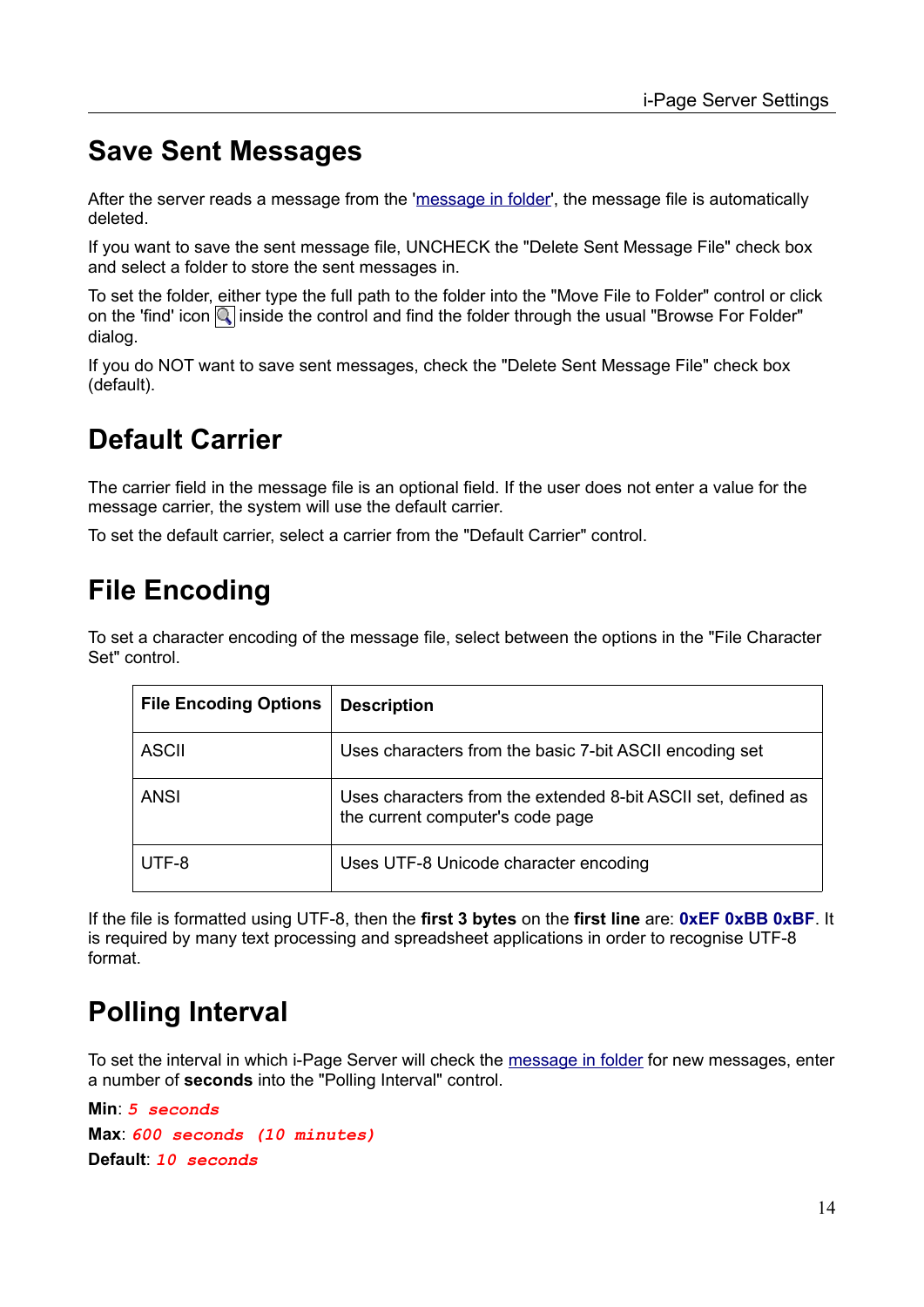## <span id="page-13-3"></span>**Save Sent Messages**

After the server reads a message from the '[message in folder](#page-3-2)', the message file is automatically deleted.

If you want to save the sent message file, UNCHECK the "Delete Sent Message File" check box and select a folder to store the sent messages in.

To set the folder, either type the full path to the folder into the "Move File to Folder" control or click on the 'find' icon  $\mathbb Q$  inside the control and find the folder through the usual "Browse For Folder" dialog.

If you do NOT want to save sent messages, check the "Delete Sent Message File" check box (default).

## <span id="page-13-2"></span>**Default Carrier**

The carrier field in the message file is an optional field. If the user does not enter a value for the message carrier, the system will use the default carrier.

To set the default carrier, select a carrier from the "Default Carrier" control.

## <span id="page-13-1"></span>**File Encoding**

To set a character encoding of the message file, select between the options in the "File Character Set" control.

| <b>File Encoding Options</b> | <b>Description</b>                                                                                |
|------------------------------|---------------------------------------------------------------------------------------------------|
| ASCII                        | Uses characters from the basic 7-bit ASCII encoding set                                           |
| <b>ANSI</b>                  | Uses characters from the extended 8-bit ASCII set, defined as<br>the current computer's code page |
| UTF-8                        | Uses UTF-8 Unicode character encoding                                                             |

If the file is formatted using UTF-8, then the **first 3 bytes** on the **first line** are: **0xEF 0xBB 0xBF**. It is required by many text processing and spreadsheet applications in order to recognise UTF-8 format.

## <span id="page-13-0"></span>**Polling Interval**

To set the interval in which i-Page Server will check the [message in folder](#page-3-2) for new messages, enter a number of **seconds** into the "Polling Interval" control.

```
Min: 5 seconds
Max: 600 seconds (10 minutes)
Default: 10 seconds
```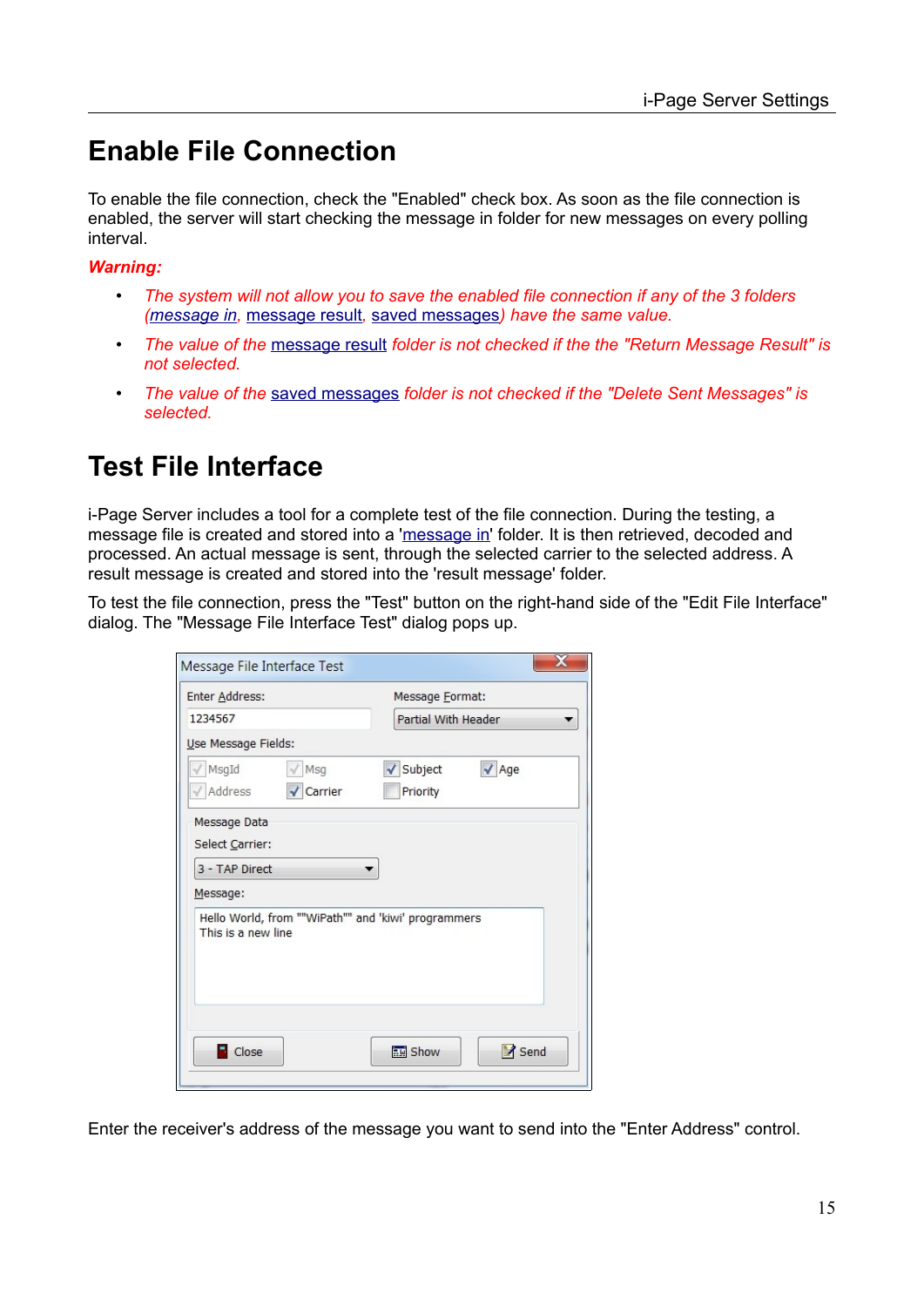## <span id="page-14-1"></span>**Enable File Connection**

To enable the file connection, check the "Enabled" check box. As soon as the file connection is enabled, the server will start checking the message in folder for new messages on every polling interval.

*Warning:*

- *The system will not allow you to save the enabled file connection if any of the 3 folders [\(message in,](#page-3-2)* [message result](#page-3-1)*,* [saved messages](#page-3-0)*) have the same value.*
- *The value of the* [message result](#page-3-1) *folder is not checked if the the "Return Message Result" is not selected.*
- *The value of the* [saved messages](#page-3-0) *folder is not checked if the "Delete Sent Messages" is selected.*

## <span id="page-14-0"></span>**Test File Interface**

i-Page Server includes a tool for a complete test of the file connection. During the testing, a message file is created and stored into a '[message in](#page-3-2)' folder. It is then retrieved, decoded and processed. An actual message is sent, through the selected carrier to the selected address. A result message is created and stored into the 'result message' folder.

To test the file connection, press the "Test" button on the right-hand side of the "Edit File Interface" dialog. The "Message File Interface Test" dialog pops up.

| Enter Address:      |                                                     | Message <b>Format</b> : |              |
|---------------------|-----------------------------------------------------|-------------------------|--------------|
| 1234567             |                                                     | Partial With Header     |              |
| Use Message Fields: |                                                     |                         |              |
| MsgId               | Msg                                                 | √ Subject               | $\sqrt{$ Age |
| Address             | Carrier                                             | Priority                |              |
| Message Data        |                                                     |                         |              |
|                     |                                                     |                         |              |
| Select Carrier:     |                                                     |                         |              |
| 3 - TAP Direct      |                                                     |                         |              |
| Message:            |                                                     |                         |              |
| This is a new line  | Hello World, from ""WiPath"" and 'kiwi' programmers |                         |              |
|                     |                                                     |                         |              |

Enter the receiver's address of the message you want to send into the "Enter Address" control.